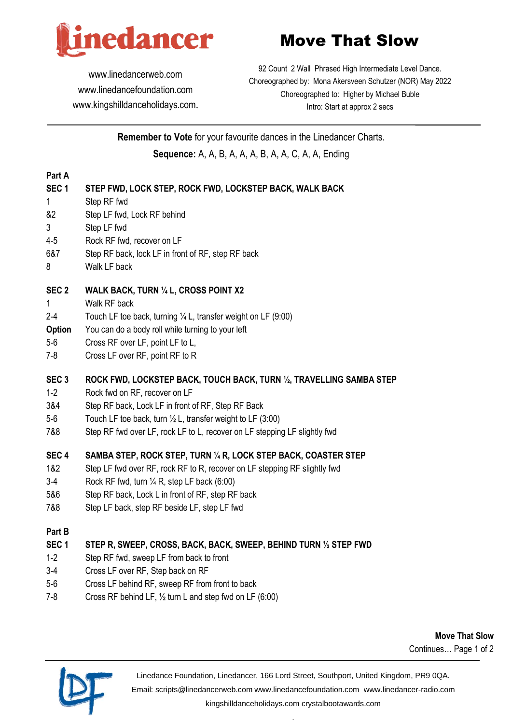

# Move That Slow

[www.linedancerweb.com](http://www.linedancerweb.com/) [www.linedancefoundation.com](http://www.linedancerweb.com/)  [www.kingshilldanceholidays.com](http://www.kingshilldanceholidays.com/).

92 Count 2 Wall Phrased High Intermediate Level Dance. Choreographed by: Mona Akersveen Schutzer (NOR) May 2022 Choreographed to: Higher by Michael Buble Intro: Start at approx 2 secs

**Remember to Vote** for your favourite dances in the Linedancer Charts. **Sequence:** A, A, B, A, A, A, B, A, A, C, A, A, Ending

#### **Part A**

## **SEC 1 STEP FWD, LOCK STEP, ROCK FWD, LOCKSTEP BACK, WALK BACK**

- 1 Step RF fwd
- &2 Step LF fwd, Lock RF behind
- 3 Step LF fwd
- 4-5 Rock RF fwd, recover on LF
- 6&7 Step RF back, lock LF in front of RF, step RF back
- 8 Walk LF back

## **SEC 2 WALK BACK, TURN ¼ L, CROSS POINT X2**

- 1 Walk RF back
- 2-4 Touch LF toe back, turning ¼ L, transfer weight on LF (9:00)
- **Option** You can do a body roll while turning to your left
- 5-6 Cross RF over LF, point LF to L,
- 7-8 Cross LF over RF, point RF to R

# **SEC 3 ROCK FWD, LOCKSTEP BACK, TOUCH BACK, TURN ½, TRAVELLING SAMBA STEP**

- 1-2 Rock fwd on RF, recover on LF
- 3&4 Step RF back, Lock LF in front of RF, Step RF Back
- 5-6 Touch LF toe back, turn ½ L, transfer weight to LF (3:00)
- 7&8 Step RF fwd over LF, rock LF to L, recover on LF stepping LF slightly fwd

# **SEC 4 SAMBA STEP, ROCK STEP, TURN ¼ R, LOCK STEP BACK, COASTER STEP**

- 1&2 Step LF fwd over RF, rock RF to R, recover on LF stepping RF slightly fwd
- 3-4 Rock RF fwd, turn  $\frac{1}{4}$  R, step LF back (6:00)
- 5&6 Step RF back, Lock L in front of RF, step RF back
- 7&8 Step LF back, step RF beside LF, step LF fwd

## **Part B**

# **SEC 1 STEP R, SWEEP, CROSS, BACK, BACK, SWEEP, BEHIND TURN ½ STEP FWD**

- 1-2 Step RF fwd, sweep LF from back to front
- 3-4 Cross LF over RF, Step back on RF
- 5-6 Cross LF behind RF, sweep RF from front to back
- 7-8 Cross RF behind LF, ½ turn L and step fwd on LF (6:00)

**Move That Slow** Continues… Page 1 of 2



Linedance Foundation, Linedancer, 166 Lord Street, Southport, United Kingdom, PR9 0QA.

Email: [scripts@linedancerweb.com](mailto:scripts@linedancerweb.com) [www.linedancefoundation.com](http://www.linedancefoundation.com/) [www.linedancer-radio.com](http://www.linedancer-radio.com/)

[kingshilldanceholidays.com](http://kingshilldanceholidays.com/) [crystalbootawards.com](http://crystalbootawards.com/) .